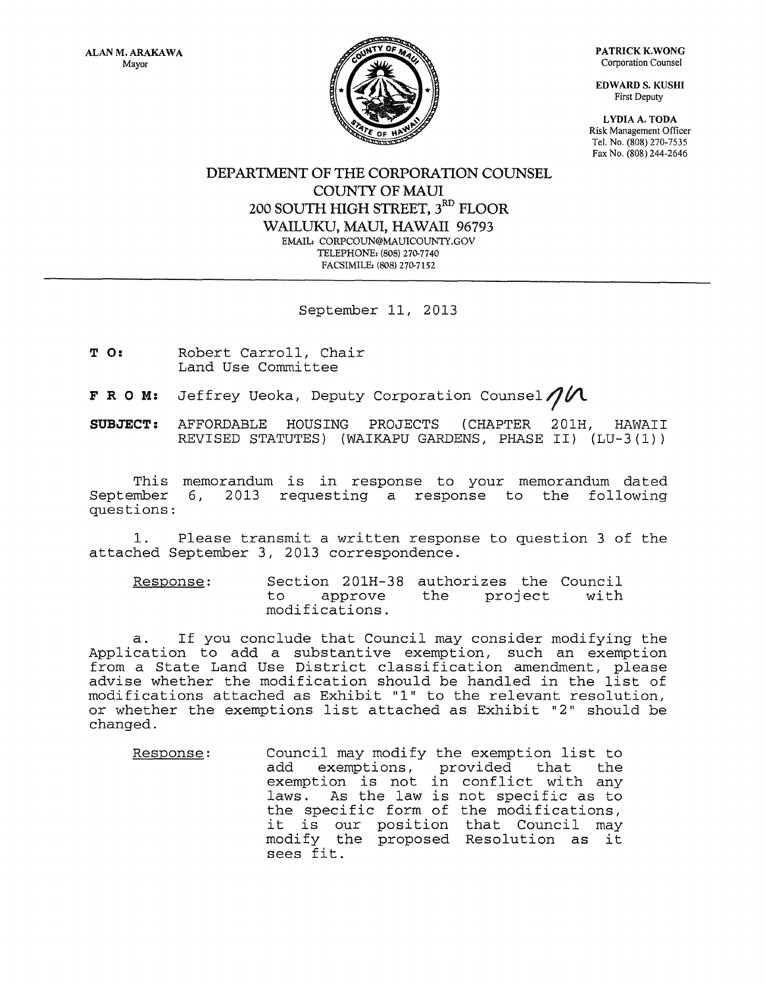PATRICK K.WONG Corporation Counsel

EDWARD S. KUSH! First Deputy

LYDIA A. TODA Risk Management Officer Tel. No. (808) 270-7535 Fax No. (808) 244-2646



DEPARTMENT OF THE CORPORATION COUNSEL COUNTY OF MAUl 200 SOUTH HIGH STREET, 3RD FLOOR WAILUKU, MAUI, HAWAII 96793 EMAIL: CORPCOUN@MAUICOUNTY.GOV TELEPHONE: (808) 270·7740 FACSIMILE: (808) 270·7152

September 11, 2013

- T 0: Robert Carroll, Chair Land Use Committee
- F R O M: Jeffrey Ueoka, Deputy Corporation Counsel  $\eta/\hspace{-3pt}/\Lambda$
- **SUBJECT:** AFFORDABLE HOUSING PROJECTS (CHAPTER 201H, HAWAII REVISED STATUTES) (WAIKAPU GARDENS, PHASE II) (LU-3(1))

This memorandum is in response to your memorandum dated September 6, questions: 61 2 013 requesting a response to the following

1. Please transmit a written response to question 3 of the attached September 3, 2013 correspondence.

Response: Section 201H-38 authorizes the Council to approve modifications. the project with

a. If you conclude that Council may consider modifying the Application to add a substantive exemption, such an exemption from a State Land Use District classification amendment, please advise whether the modification should be handled in the list of modifications attached as Exhibit "1" to the relevant resolution, or whether the exemptions list attached as Exhibit "2" should be changed.

Response: Council may modify the exemption list to add exemptions, provided that the exemption is not in conflict with any laws. As the law is not specific as to the specific form of the modifications, it is our position that Council may modify the proposed Resolution as it sees fit.